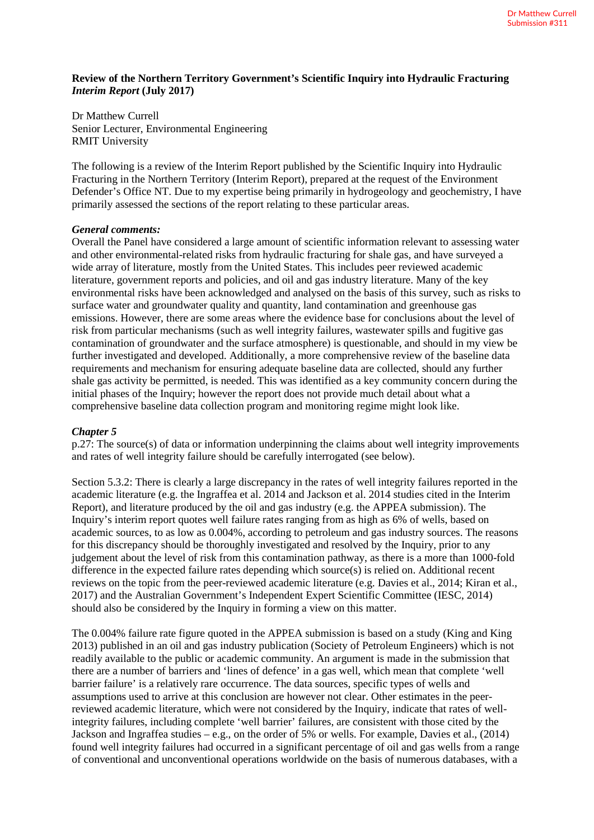## **Review of the Northern Territory Government's Scientific Inquiry into Hydraulic Fracturing**  *Interim Report* **(July 2017)**

Dr Matthew Currell Senior Lecturer, Environmental Engineering RMIT University

The following is a review of the Interim Report published by the Scientific Inquiry into Hydraulic Fracturing in the Northern Territory (Interim Report), prepared at the request of the Environment Defender's Office NT. Due to my expertise being primarily in hydrogeology and geochemistry, I have primarily assessed the sections of the report relating to these particular areas.

## *General comments:*

Overall the Panel have considered a large amount of scientific information relevant to assessing water and other environmental-related risks from hydraulic fracturing for shale gas, and have surveyed a wide array of literature, mostly from the United States. This includes peer reviewed academic literature, government reports and policies, and oil and gas industry literature. Many of the key environmental risks have been acknowledged and analysed on the basis of this survey, such as risks to surface water and groundwater quality and quantity, land contamination and greenhouse gas emissions. However, there are some areas where the evidence base for conclusions about the level of risk from particular mechanisms (such as well integrity failures, wastewater spills and fugitive gas contamination of groundwater and the surface atmosphere) is questionable, and should in my view be further investigated and developed. Additionally, a more comprehensive review of the baseline data requirements and mechanism for ensuring adequate baseline data are collected, should any further shale gas activity be permitted, is needed. This was identified as a key community concern during the initial phases of the Inquiry; however the report does not provide much detail about what a comprehensive baseline data collection program and monitoring regime might look like.

# *Chapter 5*

p.27: The source(s) of data or information underpinning the claims about well integrity improvements and rates of well integrity failure should be carefully interrogated (see below).

Section 5.3.2: There is clearly a large discrepancy in the rates of well integrity failures reported in the academic literature (e.g. the Ingraffea et al. 2014 and Jackson et al. 2014 studies cited in the Interim Report), and literature produced by the oil and gas industry (e.g. the APPEA submission). The Inquiry's interim report quotes well failure rates ranging from as high as 6% of wells, based on academic sources, to as low as 0.004%, according to petroleum and gas industry sources. The reasons for this discrepancy should be thoroughly investigated and resolved by the Inquiry, prior to any judgement about the level of risk from this contamination pathway, as there is a more than 1000-fold difference in the expected failure rates depending which source(s) is relied on. Additional recent reviews on the topic from the peer-reviewed academic literature (e.g. Davies et al., 2014; Kiran et al., 2017) and the Australian Government's Independent Expert Scientific Committee (IESC, 2014) should also be considered by the Inquiry in forming a view on this matter.

The 0.004% failure rate figure quoted in the APPEA submission is based on a study (King and King 2013) published in an oil and gas industry publication (Society of Petroleum Engineers) which is not readily available to the public or academic community. An argument is made in the submission that there are a number of barriers and 'lines of defence' in a gas well, which mean that complete 'well barrier failure' is a relatively rare occurrence. The data sources, specific types of wells and assumptions used to arrive at this conclusion are however not clear. Other estimates in the peerreviewed academic literature, which were not considered by the Inquiry, indicate that rates of wellintegrity failures, including complete 'well barrier' failures, are consistent with those cited by the Jackson and Ingraffea studies – e.g., on the order of 5% or wells. For example, Davies et al., (2014) found well integrity failures had occurred in a significant percentage of oil and gas wells from a range of conventional and unconventional operations worldwide on the basis of numerous databases, with a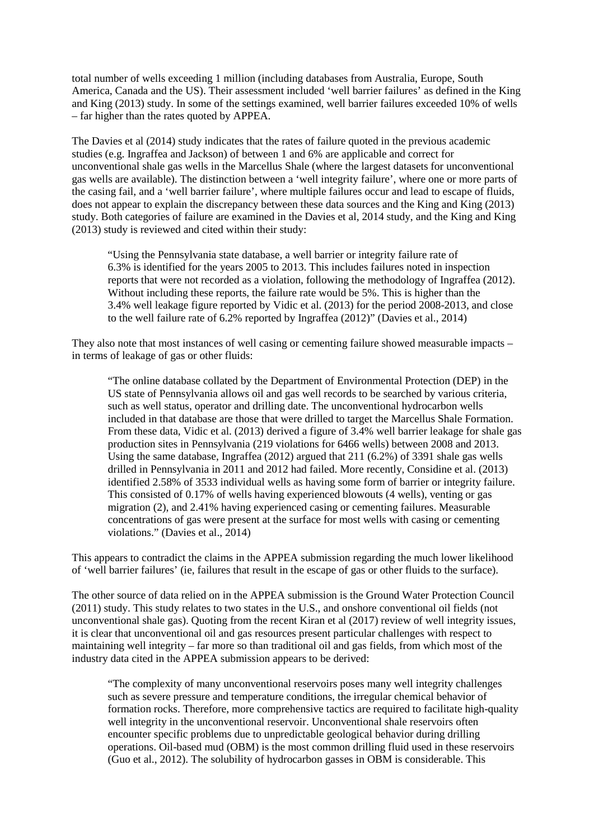total number of wells exceeding 1 million (including databases from Australia, Europe, South America, Canada and the US). Their assessment included 'well barrier failures' as defined in the King and King (2013) study. In some of the settings examined, well barrier failures exceeded 10% of wells – far higher than the rates quoted by APPEA.

The Davies et al (2014) study indicates that the rates of failure quoted in the previous academic studies (e.g. Ingraffea and Jackson) of between 1 and 6% are applicable and correct for unconventional shale gas wells in the Marcellus Shale (where the largest datasets for unconventional gas wells are available). The distinction between a 'well integrity failure', where one or more parts of the casing fail, and a 'well barrier failure', where multiple failures occur and lead to escape of fluids, does not appear to explain the discrepancy between these data sources and the King and King (2013) study. Both categories of failure are examined in the Davies et al, 2014 study, and the King and King (2013) study is reviewed and cited within their study:

"Using the Pennsylvania state database, a well barrier or integrity failure rate of 6.3% is identified for the years 2005 to 2013. This includes failures noted in inspection reports that were not recorded as a violation, following the methodology of Ingraffea (2012). Without including these reports, the failure rate would be 5%. This is higher than the 3.4% well leakage figure reported by Vidic et al. (2013) for the period 2008-2013, and close to the well failure rate of 6.2% reported by Ingraffea (2012)" (Davies et al., 2014)

They also note that most instances of well casing or cementing failure showed measurable impacts – in terms of leakage of gas or other fluids:

"The online database collated by the Department of Environmental Protection (DEP) in the US state of Pennsylvania allows oil and gas well records to be searched by various criteria, such as well status, operator and drilling date. The unconventional hydrocarbon wells included in that database are those that were drilled to target the Marcellus Shale Formation. From these data, Vidic et al. (2013) derived a figure of 3.4% well barrier leakage for shale gas production sites in Pennsylvania (219 violations for 6466 wells) between 2008 and 2013. Using the same database, Ingraffea (2012) argued that 211 (6.2%) of 3391 shale gas wells drilled in Pennsylvania in 2011 and 2012 had failed. More recently, Considine et al. (2013) identified 2.58% of 3533 individual wells as having some form of barrier or integrity failure. This consisted of 0.17% of wells having experienced blowouts (4 wells), venting or gas migration (2), and 2.41% having experienced casing or cementing failures. Measurable concentrations of gas were present at the surface for most wells with casing or cementing violations." (Davies et al., 2014)

This appears to contradict the claims in the APPEA submission regarding the much lower likelihood of 'well barrier failures' (ie, failures that result in the escape of gas or other fluids to the surface).

The other source of data relied on in the APPEA submission is the Ground Water Protection Council (2011) study. This study relates to two states in the U.S., and onshore conventional oil fields (not unconventional shale gas). Quoting from the recent Kiran et al (2017) review of well integrity issues, it is clear that unconventional oil and gas resources present particular challenges with respect to maintaining well integrity – far more so than traditional oil and gas fields, from which most of the industry data cited in the APPEA submission appears to be derived:

"The complexity of many unconventional reservoirs poses many well integrity challenges such as severe pressure and temperature conditions, the irregular chemical behavior of formation rocks. Therefore, more comprehensive tactics are required to facilitate high-quality well integrity in the unconventional reservoir. Unconventional shale reservoirs often encounter specific problems due to unpredictable geological behavior during drilling operations. Oil-based mud (OBM) is the most common drilling fluid used in these reservoirs (Guo et al., 2012). The solubility of hydrocarbon gasses in OBM is considerable. This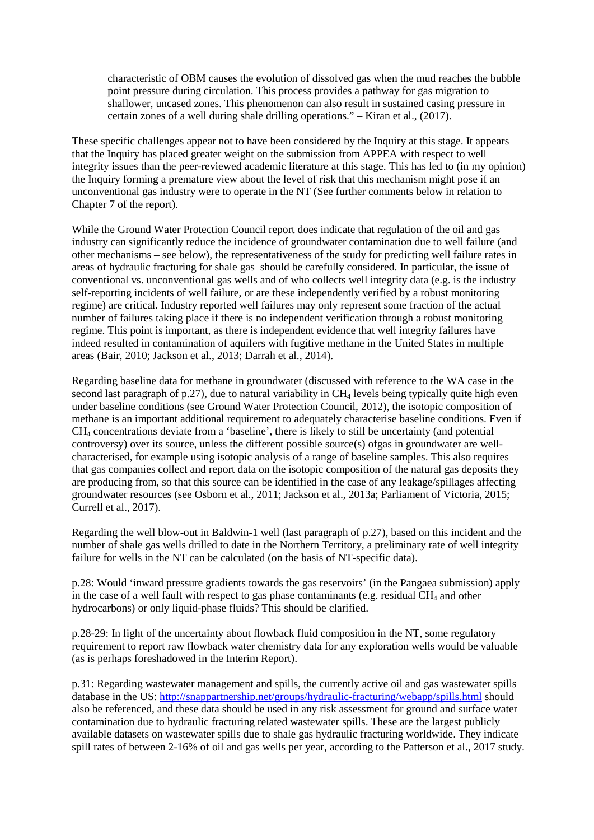characteristic of OBM causes the evolution of dissolved gas when the mud reaches the bubble point pressure during circulation. This process provides a pathway for gas migration to shallower, uncased zones. This phenomenon can also result in sustained casing pressure in certain zones of a well during shale drilling operations." – Kiran et al., (2017).

These specific challenges appear not to have been considered by the Inquiry at this stage. It appears that the Inquiry has placed greater weight on the submission from APPEA with respect to well integrity issues than the peer-reviewed academic literature at this stage. This has led to (in my opinion) the Inquiry forming a premature view about the level of risk that this mechanism might pose if an unconventional gas industry were to operate in the NT (See further comments below in relation to Chapter 7 of the report).

While the Ground Water Protection Council report does indicate that regulation of the oil and gas industry can significantly reduce the incidence of groundwater contamination due to well failure (and other mechanisms – see below), the representativeness of the study for predicting well failure rates in areas of hydraulic fracturing for shale gas should be carefully considered. In particular, the issue of conventional vs. unconventional gas wells and of who collects well integrity data (e.g. is the industry self-reporting incidents of well failure, or are these independently verified by a robust monitoring regime) are critical. Industry reported well failures may only represent some fraction of the actual number of failures taking place if there is no independent verification through a robust monitoring regime. This point is important, as there is independent evidence that well integrity failures have indeed resulted in contamination of aquifers with fugitive methane in the United States in multiple areas (Bair, 2010; Jackson et al., 2013; Darrah et al., 2014).

Regarding baseline data for methane in groundwater (discussed with reference to the WA case in the second last paragraph of  $p.27$ ), due to natural variability in  $CH<sub>4</sub>$  levels being typically quite high even under baseline conditions (see Ground Water Protection Council, 2012), the isotopic composition of methane is an important additional requirement to adequately characterise baseline conditions. Even if CH4 concentrations deviate from a 'baseline', there is likely to still be uncertainty (and potential controversy) over its source, unless the different possible source(s) ofgas in groundwater are wellcharacterised, for example using isotopic analysis of a range of baseline samples. This also requires that gas companies collect and report data on the isotopic composition of the natural gas deposits they are producing from, so that this source can be identified in the case of any leakage/spillages affecting groundwater resources (see Osborn et al., 2011; Jackson et al., 2013a; Parliament of Victoria, 2015; Currell et al., 2017).

Regarding the well blow-out in Baldwin-1 well (last paragraph of p.27), based on this incident and the number of shale gas wells drilled to date in the Northern Territory, a preliminary rate of well integrity failure for wells in the NT can be calculated (on the basis of NT-specific data).

p.28: Would 'inward pressure gradients towards the gas reservoirs' (in the Pangaea submission) apply in the case of a well fault with respect to gas phase contaminants (e.g. residual  $CH<sub>4</sub>$  and other hydrocarbons) or only liquid-phase fluids? This should be clarified.

p.28-29: In light of the uncertainty about flowback fluid composition in the NT, some regulatory requirement to report raw flowback water chemistry data for any exploration wells would be valuable (as is perhaps foreshadowed in the Interim Report).

p.31: Regarding wastewater management and spills, the currently active oil and gas wastewater spills database in the US:<http://snappartnership.net/groups/hydraulic-fracturing/webapp/spills.html> should also be referenced, and these data should be used in any risk assessment for ground and surface water contamination due to hydraulic fracturing related wastewater spills. These are the largest publicly available datasets on wastewater spills due to shale gas hydraulic fracturing worldwide. They indicate spill rates of between 2-16% of oil and gas wells per year, according to the Patterson et al., 2017 study.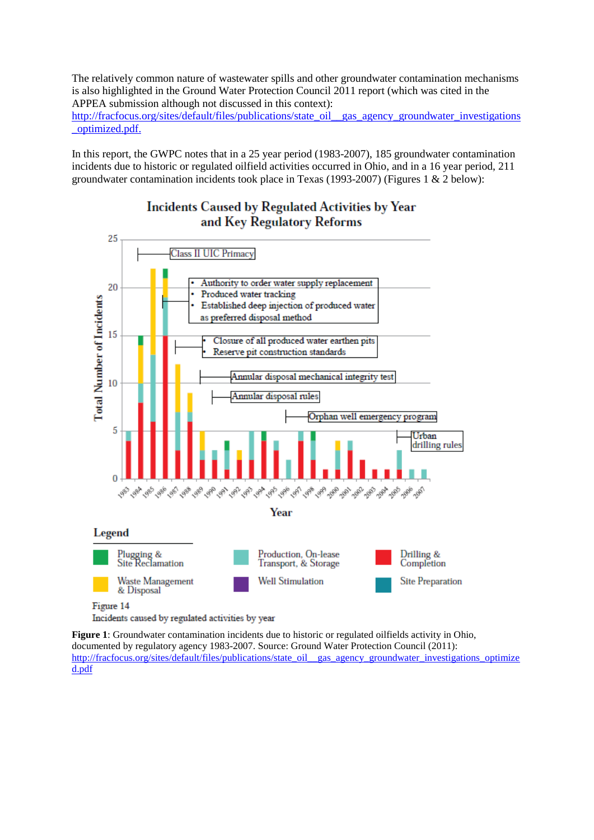The relatively common nature of wastewater spills and other groundwater contamination mechanisms is also highlighted in the Ground Water Protection Council 2011 report (which was cited in the APPEA submission although not discussed in this context):

[http://fracfocus.org/sites/default/files/publications/state\\_oil\\_\\_gas\\_agency\\_groundwater\\_investigations](http://fracfocus.org/sites/default/files/publications/state_oil__gas_agency_groundwater_investigations_optimized.pdf) [\\_optimized.pdf.](http://fracfocus.org/sites/default/files/publications/state_oil__gas_agency_groundwater_investigations_optimized.pdf)

In this report, the GWPC notes that in a 25 year period (1983-2007), 185 groundwater contamination incidents due to historic or regulated oilfield activities occurred in Ohio, and in a 16 year period, 211 groundwater contamination incidents took place in Texas (1993-2007) (Figures 1 & 2 below):

# **Incidents Caused by Regulated Activities by Year** and Key Regulatory Reforms



Figure 14

Incidents caused by regulated activities by year

**Figure 1**: Groundwater contamination incidents due to historic or regulated oilfields activity in Ohio, documented by regulatory agency 1983-2007. Source: Ground Water Protection Council (2011): [http://fracfocus.org/sites/default/files/publications/state\\_oil\\_\\_gas\\_agency\\_groundwater\\_investigations\\_optimize](http://fracfocus.org/sites/default/files/publications/state_oil__gas_agency_groundwater_investigations_optimized.pdf) [d.pdf](http://fracfocus.org/sites/default/files/publications/state_oil__gas_agency_groundwater_investigations_optimized.pdf)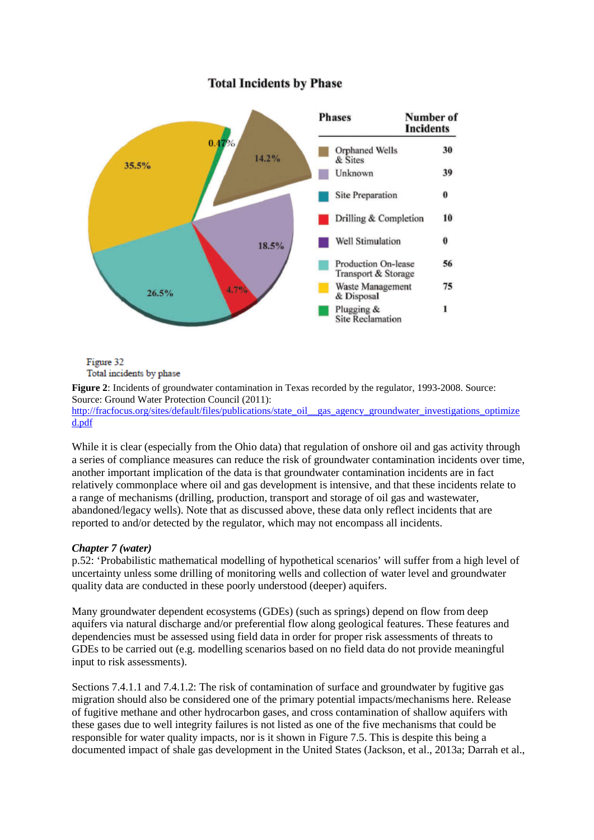#### Number of **Phases Incidents** Orphaned Wells 30  $14.2\%$ & Sites 35.5% Unknown 39 0 **Site Preparation** Drilling & Completion 10  $\bf{0}$ Well Stimulation  $18.5%$ Production On-lease 56 Transport & Storage Waste Management 75 26.5% & Disposal Plugging & 1 **Site Reclamation**

# **Total Incidents by Phase**

Figure 32 Total incidents by phase

**Figure 2**: Incidents of groundwater contamination in Texas recorded by the regulator, 1993-2008. Source: Source: Ground Water Protection Council (2011):

[http://fracfocus.org/sites/default/files/publications/state\\_oil\\_\\_gas\\_agency\\_groundwater\\_investigations\\_optimize](http://fracfocus.org/sites/default/files/publications/state_oil__gas_agency_groundwater_investigations_optimized.pdf) [d.pdf](http://fracfocus.org/sites/default/files/publications/state_oil__gas_agency_groundwater_investigations_optimized.pdf)

While it is clear (especially from the Ohio data) that regulation of onshore oil and gas activity through a series of compliance measures can reduce the risk of groundwater contamination incidents over time, another important implication of the data is that groundwater contamination incidents are in fact relatively commonplace where oil and gas development is intensive, and that these incidents relate to a range of mechanisms (drilling, production, transport and storage of oil gas and wastewater, abandoned/legacy wells). Note that as discussed above, these data only reflect incidents that are reported to and/or detected by the regulator, which may not encompass all incidents.

## *Chapter 7 (water)*

p.52: 'Probabilistic mathematical modelling of hypothetical scenarios' will suffer from a high level of uncertainty unless some drilling of monitoring wells and collection of water level and groundwater quality data are conducted in these poorly understood (deeper) aquifers.

Many groundwater dependent ecosystems (GDEs) (such as springs) depend on flow from deep aquifers via natural discharge and/or preferential flow along geological features. These features and dependencies must be assessed using field data in order for proper risk assessments of threats to GDEs to be carried out (e.g. modelling scenarios based on no field data do not provide meaningful input to risk assessments).

Sections 7.4.1.1 and 7.4.1.2: The risk of contamination of surface and groundwater by fugitive gas migration should also be considered one of the primary potential impacts/mechanisms here. Release of fugitive methane and other hydrocarbon gases, and cross contamination of shallow aquifers with these gases due to well integrity failures is not listed as one of the five mechanisms that could be responsible for water quality impacts, nor is it shown in Figure 7.5. This is despite this being a documented impact of shale gas development in the United States (Jackson, et al., 2013a; Darrah et al.,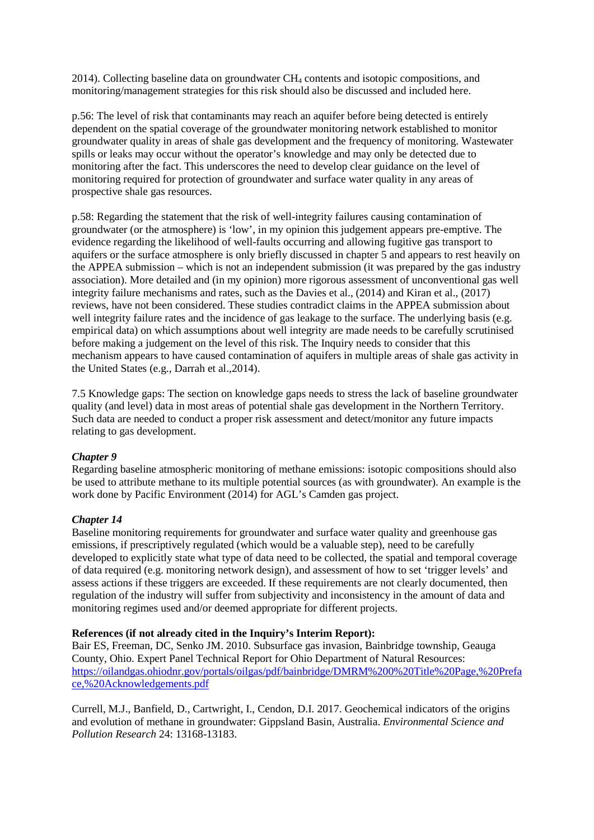2014). Collecting baseline data on groundwater  $CH<sub>4</sub>$  contents and isotopic compositions, and monitoring/management strategies for this risk should also be discussed and included here.

p.56: The level of risk that contaminants may reach an aquifer before being detected is entirely dependent on the spatial coverage of the groundwater monitoring network established to monitor groundwater quality in areas of shale gas development and the frequency of monitoring. Wastewater spills or leaks may occur without the operator's knowledge and may only be detected due to monitoring after the fact. This underscores the need to develop clear guidance on the level of monitoring required for protection of groundwater and surface water quality in any areas of prospective shale gas resources.

p.58: Regarding the statement that the risk of well-integrity failures causing contamination of groundwater (or the atmosphere) is 'low', in my opinion this judgement appears pre-emptive. The evidence regarding the likelihood of well-faults occurring and allowing fugitive gas transport to aquifers or the surface atmosphere is only briefly discussed in chapter 5 and appears to rest heavily on the APPEA submission – which is not an independent submission (it was prepared by the gas industry association). More detailed and (in my opinion) more rigorous assessment of unconventional gas well integrity failure mechanisms and rates, such as the Davies et al., (2014) and Kiran et al., (2017) reviews, have not been considered. These studies contradict claims in the APPEA submission about well integrity failure rates and the incidence of gas leakage to the surface. The underlying basis (e.g. empirical data) on which assumptions about well integrity are made needs to be carefully scrutinised before making a judgement on the level of this risk. The Inquiry needs to consider that this mechanism appears to have caused contamination of aquifers in multiple areas of shale gas activity in the United States (e.g., Darrah et al.,2014).

7.5 Knowledge gaps: The section on knowledge gaps needs to stress the lack of baseline groundwater quality (and level) data in most areas of potential shale gas development in the Northern Territory. Such data are needed to conduct a proper risk assessment and detect/monitor any future impacts relating to gas development.

# *Chapter 9*

Regarding baseline atmospheric monitoring of methane emissions: isotopic compositions should also be used to attribute methane to its multiple potential sources (as with groundwater). An example is the work done by Pacific Environment (2014) for AGL's Camden gas project.

# *Chapter 14*

Baseline monitoring requirements for groundwater and surface water quality and greenhouse gas emissions, if prescriptively regulated (which would be a valuable step), need to be carefully developed to explicitly state what type of data need to be collected, the spatial and temporal coverage of data required (e.g. monitoring network design), and assessment of how to set 'trigger levels' and assess actions if these triggers are exceeded. If these requirements are not clearly documented, then regulation of the industry will suffer from subjectivity and inconsistency in the amount of data and monitoring regimes used and/or deemed appropriate for different projects.

## **References (if not already cited in the Inquiry's Interim Report):**

Bair ES, Freeman, DC, Senko JM. 2010. Subsurface gas invasion, Bainbridge township, Geauga County, Ohio. Expert Panel Technical Report for Ohio Department of Natural Resources: [https://oilandgas.ohiodnr.gov/portals/oilgas/pdf/bainbridge/DMRM%200%20Title%20Page,%20Prefa](https://oilandgas.ohiodnr.gov/portals/oilgas/pdf/bainbridge/DMRM%200%20Title%20Page,%20Preface,%20Acknowledgements.pdf) [ce,%20Acknowledgements.pdf](https://oilandgas.ohiodnr.gov/portals/oilgas/pdf/bainbridge/DMRM%200%20Title%20Page,%20Preface,%20Acknowledgements.pdf)

Currell, M.J., Banfield, D., Cartwright, I., Cendon, D.I. 2017. Geochemical indicators of the origins and evolution of methane in groundwater: Gippsland Basin, Australia. *Environmental Science and Pollution Research* 24: 13168-13183.